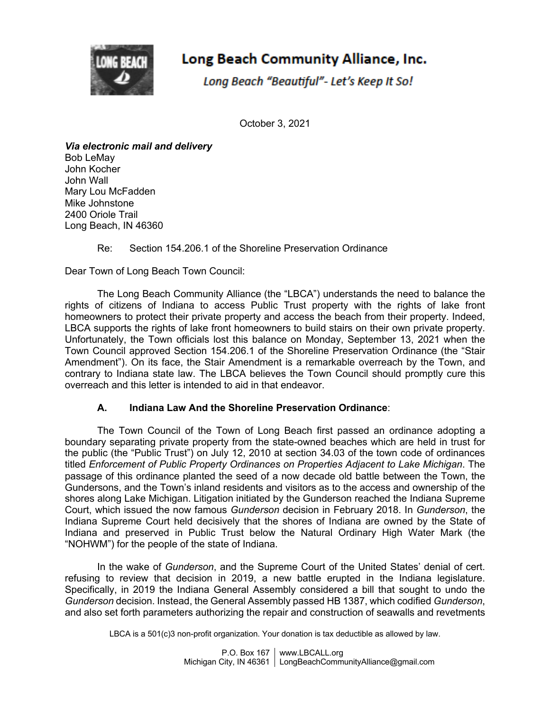

# Long Beach Community Alliance, Inc.

Long Beach "Beautiful"- Let's Keep It So!

October 3, 2021

*Via electronic mail and delivery* Bob LeMay John Kocher John Wall Mary Lou McFadden Mike Johnstone 2400 Oriole Trail Long Beach, IN 46360

## Re: Section 154.206.1 of the Shoreline Preservation Ordinance

Dear Town of Long Beach Town Council:

The Long Beach Community Alliance (the "LBCA") understands the need to balance the rights of citizens of Indiana to access Public Trust property with the rights of lake front homeowners to protect their private property and access the beach from their property. Indeed, LBCA supports the rights of lake front homeowners to build stairs on their own private property. Unfortunately, the Town officials lost this balance on Monday, September 13, 2021 when the Town Council approved Section 154.206.1 of the Shoreline Preservation Ordinance (the "Stair Amendment"). On its face, the Stair Amendment is a remarkable overreach by the Town, and contrary to Indiana state law. The LBCA believes the Town Council should promptly cure this overreach and this letter is intended to aid in that endeavor.

## **A. Indiana Law And the Shoreline Preservation Ordinance**:

The Town Council of the Town of Long Beach first passed an ordinance adopting a boundary separating private property from the state-owned beaches which are held in trust for the public (the "Public Trust") on July 12, 2010 at section 34.03 of the town code of ordinances titled *Enforcement of Public Property Ordinances on Properties Adjacent to Lake Michigan*. The passage of this ordinance planted the seed of a now decade old battle between the Town, the Gundersons, and the Town's inland residents and visitors as to the access and ownership of the shores along Lake Michigan. Litigation initiated by the Gunderson reached the Indiana Supreme Court, which issued the now famous *Gunderson* decision in February 2018. In *Gunderson*, the Indiana Supreme Court held decisively that the shores of Indiana are owned by the State of Indiana and preserved in Public Trust below the Natural Ordinary High Water Mark (the "NOHWM") for the people of the state of Indiana.

In the wake of *Gunderson*, and the Supreme Court of the United States' denial of cert. refusing to review that decision in 2019, a new battle erupted in the Indiana legislature. Specifically, in 2019 the Indiana General Assembly considered a bill that sought to undo the *Gunderson* decision. Instead, the General Assembly passed HB 1387, which codified *Gunderson*, and also set forth parameters authorizing the repair and construction of seawalls and revetments

LBCA is a 501(c)3 non-profit organization. Your donation is tax deductible as allowed by law.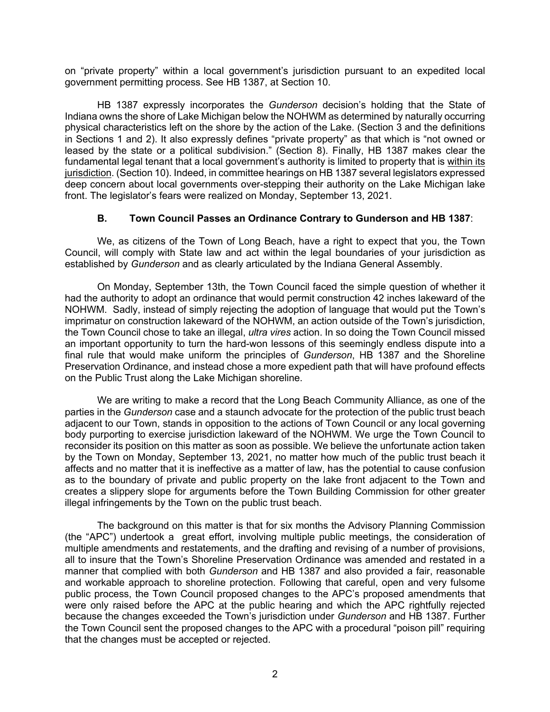on "private property" within a local government's jurisdiction pursuant to an expedited local government permitting process. See HB 1387, at Section 10.

HB 1387 expressly incorporates the *Gunderson* decision's holding that the State of Indiana owns the shore of Lake Michigan below the NOHWM as determined by naturally occurring physical characteristics left on the shore by the action of the Lake. (Section 3 and the definitions in Sections 1 and 2). It also expressly defines "private property" as that which is "not owned or leased by the state or a political subdivision." (Section 8). Finally, HB 1387 makes clear the fundamental legal tenant that a local government's authority is limited to property that is within its jurisdiction. (Section 10). Indeed, in committee hearings on HB 1387 several legislators expressed deep concern about local governments over-stepping their authority on the Lake Michigan lake front. The legislator's fears were realized on Monday, September 13, 2021.

#### **B. Town Council Passes an Ordinance Contrary to Gunderson and HB 1387**:

We, as citizens of the Town of Long Beach, have a right to expect that you, the Town Council, will comply with State law and act within the legal boundaries of your jurisdiction as established by *Gunderson* and as clearly articulated by the Indiana General Assembly.

On Monday, September 13th, the Town Council faced the simple question of whether it had the authority to adopt an ordinance that would permit construction 42 inches lakeward of the NOHWM. Sadly, instead of simply rejecting the adoption of language that would put the Town's imprimatur on construction lakeward of the NOHWM, an action outside of the Town's jurisdiction, the Town Council chose to take an illegal, *ultra vires* action. In so doing the Town Council missed an important opportunity to turn the hard-won lessons of this seemingly endless dispute into a final rule that would make uniform the principles of *Gunderson*, HB 1387 and the Shoreline Preservation Ordinance, and instead chose a more expedient path that will have profound effects on the Public Trust along the Lake Michigan shoreline.

We are writing to make a record that the Long Beach Community Alliance, as one of the parties in the *Gunderson* case and a staunch advocate for the protection of the public trust beach adjacent to our Town, stands in opposition to the actions of Town Council or any local governing body purporting to exercise jurisdiction lakeward of the NOHWM. We urge the Town Council to reconsider its position on this matter as soon as possible. We believe the unfortunate action taken by the Town on Monday, September 13, 2021, no matter how much of the public trust beach it affects and no matter that it is ineffective as a matter of law, has the potential to cause confusion as to the boundary of private and public property on the lake front adjacent to the Town and creates a slippery slope for arguments before the Town Building Commission for other greater illegal infringements by the Town on the public trust beach.

The background on this matter is that for six months the Advisory Planning Commission (the "APC") undertook a great effort, involving multiple public meetings, the consideration of multiple amendments and restatements, and the drafting and revising of a number of provisions, all to insure that the Town's Shoreline Preservation Ordinance was amended and restated in a manner that complied with both *Gunderson* and HB 1387 and also provided a fair, reasonable and workable approach to shoreline protection. Following that careful, open and very fulsome public process, the Town Council proposed changes to the APC's proposed amendments that were only raised before the APC at the public hearing and which the APC rightfully rejected because the changes exceeded the Town's jurisdiction under *Gunderson* and HB 1387. Further the Town Council sent the proposed changes to the APC with a procedural "poison pill" requiring that the changes must be accepted or rejected.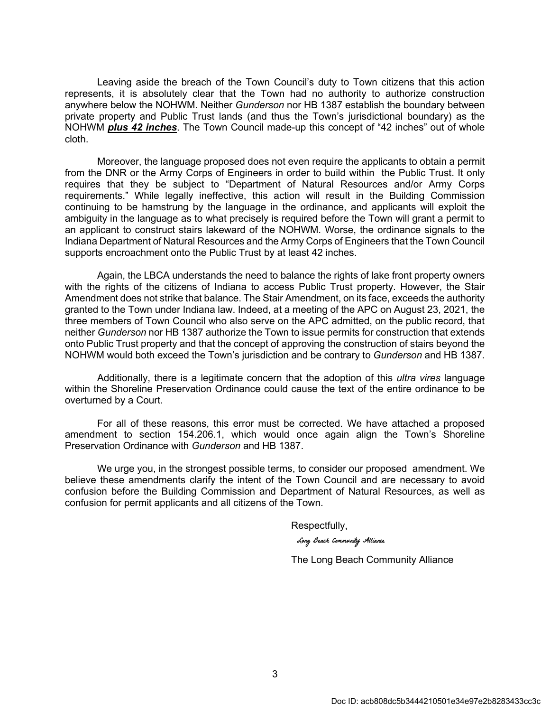Leaving aside the breach of the Town Council's duty to Town citizens that this action represents, it is absolutely clear that the Town had no authority to authorize construction anywhere below the NOHWM. Neither *Gunderson* nor HB 1387 establish the boundary between private property and Public Trust lands (and thus the Town's jurisdictional boundary) as the NOHWM *plus 42 inches*. The Town Council made-up this concept of "42 inches" out of whole cloth.

Moreover, the language proposed does not even require the applicants to obtain a permit from the DNR or the Army Corps of Engineers in order to build within the Public Trust. It only requires that they be subject to "Department of Natural Resources and/or Army Corps requirements." While legally ineffective, this action will result in the Building Commission continuing to be hamstrung by the language in the ordinance, and applicants will exploit the ambiguity in the language as to what precisely is required before the Town will grant a permit to an applicant to construct stairs lakeward of the NOHWM. Worse, the ordinance signals to the Indiana Department of Natural Resources and the Army Corps of Engineers that the Town Council supports encroachment onto the Public Trust by at least 42 inches.

Again, the LBCA understands the need to balance the rights of lake front property owners with the rights of the citizens of Indiana to access Public Trust property. However, the Stair Amendment does not strike that balance. The Stair Amendment, on its face, exceeds the authority granted to the Town under Indiana law. Indeed, at a meeting of the APC on August 23, 2021, the three members of Town Council who also serve on the APC admitted, on the public record, that neither *Gunderson* nor HB 1387 authorize the Town to issue permits for construction that extends onto Public Trust property and that the concept of approving the construction of stairs beyond the NOHWM would both exceed the Town's jurisdiction and be contrary to *Gunderson* and HB 1387.

Additionally, there is a legitimate concern that the adoption of this *ultra vires* language within the Shoreline Preservation Ordinance could cause the text of the entire ordinance to be overturned by a Court.

For all of these reasons, this error must be corrected. We have attached a proposed amendment to section 154.206.1, which would once again align the Town's Shoreline Preservation Ordinance with *Gunderson* and HB 1387.

We urge you, in the strongest possible terms, to consider our proposed amendment. We believe these amendments clarify the intent of the Town Council and are necessary to avoid confusion before the Building Commission and Department of Natural Resources, as well as confusion for permit applicants and all citizens of the Town.

Respectfully,

Long Beach Community Alliance

The Long Beach Community Alliance